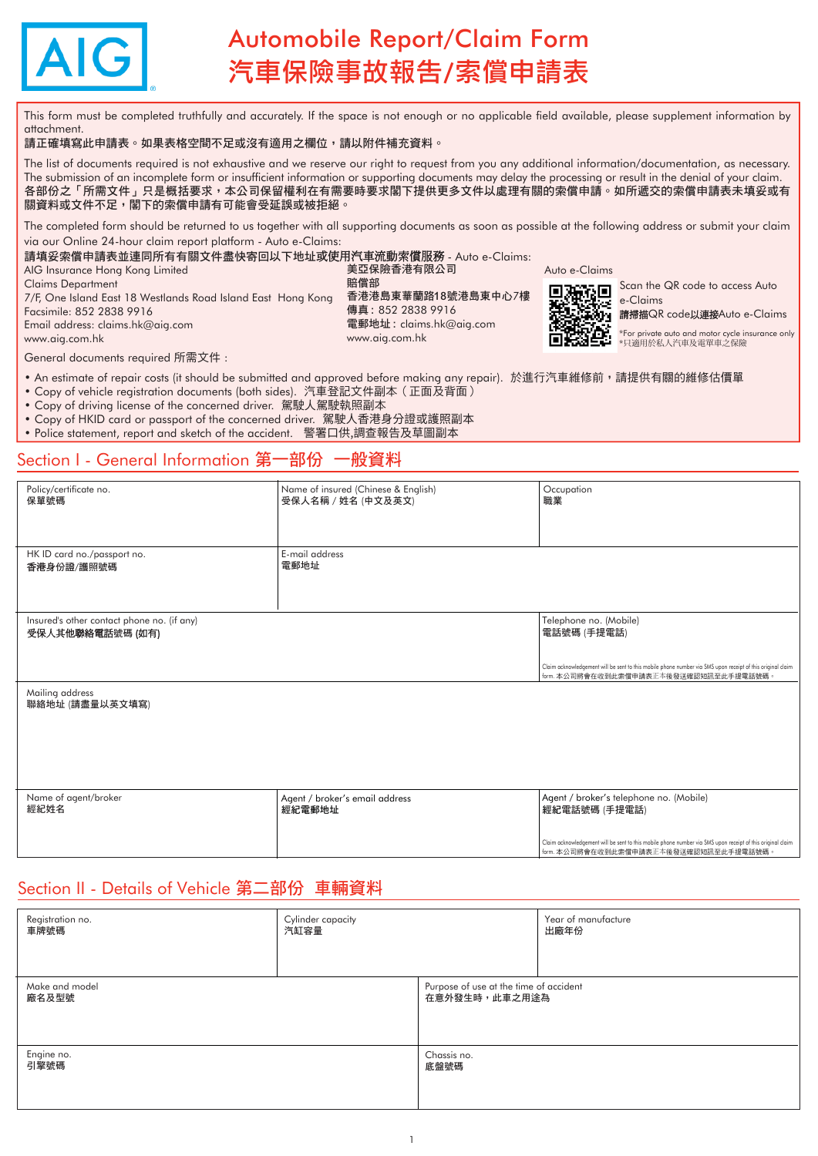

# Automobile Report/Claim Form 汽車保險事故報告/索償申請表

This form must be completed truthfully and accurately. If the space is not enough or no applicable field available, please supplement information by attachment.

#### 請正確填寫此申請表。如果表格空間不足或沒有適用之欄位,請以附件補充資料。

The list of documents required is not exhaustive and we reserve our right to request from you any additional information/documentation, as necessary. The submission of an incomplete form or insufficient information or supporting documents may delay the processing or result in the denial of your claim. 各部份之「所需文件」只是概括要求,本公司保留權利在有需要時要求閣下提供更多文件以處理有關的索償申請。如所遞交的索償申請表未填妥或有 關資料或文件不足,閣下的索償申請有可能會受延誤或被拒絕。

The completed form should be returned to us together with all supporting documents as soon as possible at the following address or submit your claim via our Online 24-hour claim report platform - Auto e-Claims:

請填妥索償申請表並連同所有有關文件盡快寄回以下地址或使用汽車流動索償服務 - Auto e-Claims:

AIG Insurance Hong Kong Limited Claims Department *7*/F, One Island East 18 Westlands Road Island East Hong Kong Facsimile: 852 2838 9916 Email address: [claims.hk@aig.com](mailto:claims.hk@aig.com) 

賠償部 香港港島東華蘭路18號港島東中心*7*樓 傳真 : 852 2838 9916 電郵地址 : [claims.hk@aig.com](mailto:claims.hk@aig.com) [www.aig.com.hk](http://www.aig.com.hk)

美亞保險香港有限公司

Auto e-Claims



Scan the QR code to access Auto e-Claims

請掃描QR code以連接Auto e-Claims

\*For private auto and motor cycle insurance only \*只適用於私人汽車及電單車之保險

General documents required 所需文件 :

[www.aig.com.hk](http://www.aig.com.hk)

• An estimate of repair costs (it should be submitted and approved before making any repair). 於進行汽車維修前,請提供有關的維修估價單

- Copy of vehicle registration documents (both sides). 汽車登記文件副本(正面及背面)
- Copy of driving license of the concerned driver. 駕駛人駕駛執照副本
- Copy of HKID card or passport of the concerned driver. 駕駛人香港身分證或護照副本
- Police statement, report and sketch of the accident. 警署口供,調查報告及草圖副本

### Section I - General Information 第一部份 一般資料

| Policy/certificate no.<br>保單號碼                                 | Name of insured (Chinese & English)<br>受保人名稱 / 姓名 (中文及英文) | Occupation<br>職業                                                                                                                                     |
|----------------------------------------------------------------|-----------------------------------------------------------|------------------------------------------------------------------------------------------------------------------------------------------------------|
|                                                                |                                                           |                                                                                                                                                      |
| HK ID card no./passport no.<br>香港身份證/護照號碼                      | E-mail address<br>電郵地址                                    |                                                                                                                                                      |
| Insured's other contact phone no. (if any)<br>受保人其他聯絡電話號碼 (如有) |                                                           | Telephone no. (Mobile)<br>電話號碼 (手提電話)                                                                                                                |
|                                                                |                                                           | Claim acknowledgement will be sent to this mobile phone number via SMS upon receipt of this original claim<br>form. 本公司將會在收到此索償申請表正本後發送確認短訊至此手提電話號碼。 |
| Mailing address<br>聯絡地址 (請盡量以英文填寫)                             |                                                           |                                                                                                                                                      |
|                                                                |                                                           |                                                                                                                                                      |
|                                                                |                                                           |                                                                                                                                                      |
| Name of agent/broker<br>經紀姓名                                   | Agent / broker's email address<br>經紀電郵地址                  | Agent / broker's telephone no. (Mobile)<br>經紀電話號碼 (手提電話)                                                                                             |
|                                                                |                                                           | Claim acknowledgement will be sent to this mobile phone number via SMS upon receipt of this original claim<br>form. 本公司將會在收到此索償申請表正本後發送確認短訊至此手提電話號碼。 |

### Section II - Details of Vehicle 第二部份 車輛資料

| Registration no.   | Cylinder capacity |                                        | Year of manufacture |
|--------------------|-------------------|----------------------------------------|---------------------|
| 車牌號碼               | 汽缸容量              |                                        | 出廠年份                |
| Make and model     |                   | Purpose of use at the time of accident |                     |
| 廠名及型號              |                   | 在意外發生時,此車之用途為                          |                     |
| Engine no.<br>引擎號碼 |                   | Chassis no.<br>底盤號碼                    |                     |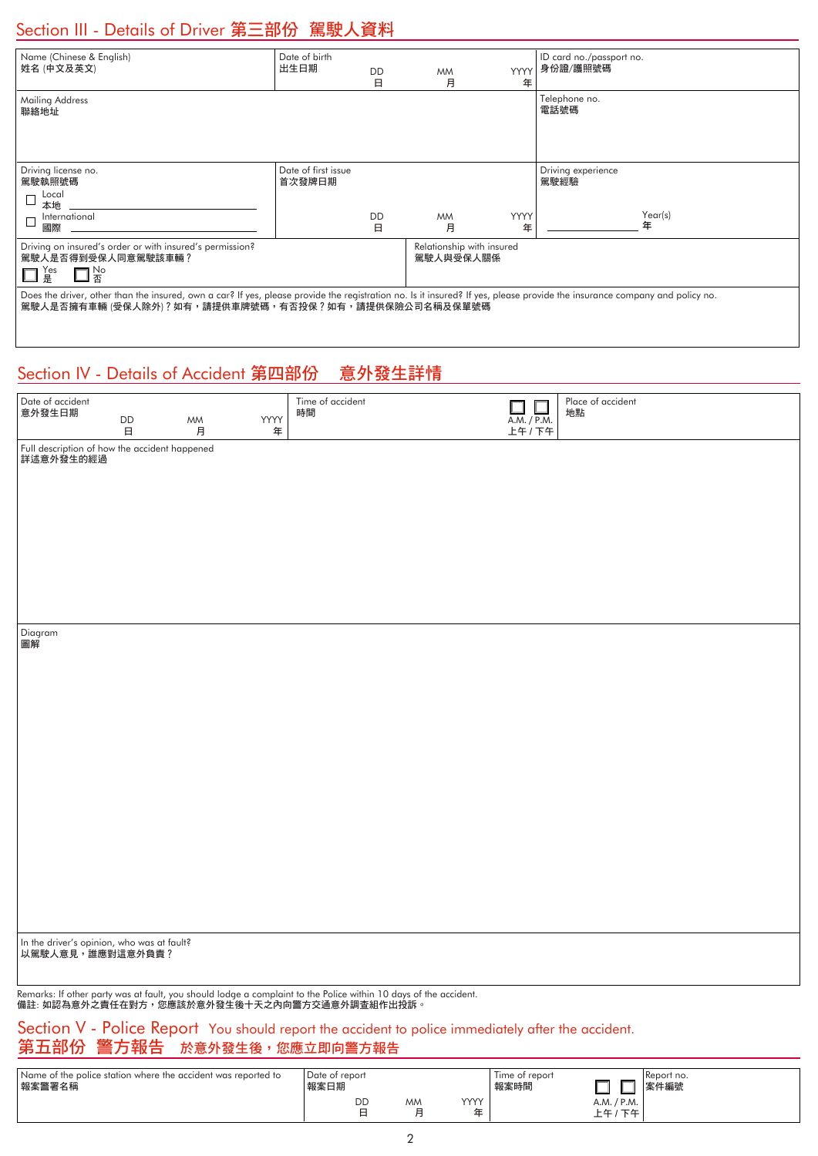# Section III - Details of Driver 第三部份 駕駛人資料

| Name (Chinese & English)<br>姓名 (中文及英文)                                                                                                                                                                                            | Date of birth<br>出生日期         | <b>DD</b><br>日 | <b>MM</b><br>月                         | <b>YYYY</b><br>年 | ID card no./passport no.<br>身份證/護照號碼       |
|-----------------------------------------------------------------------------------------------------------------------------------------------------------------------------------------------------------------------------------|-------------------------------|----------------|----------------------------------------|------------------|--------------------------------------------|
| Mailing Address<br>聯絡地址                                                                                                                                                                                                           |                               |                |                                        |                  | Telephone no.<br>電話號碼                      |
| Driving license no.<br>駕駛執照號碼<br>Local<br>本地<br>International<br>國際                                                                                                                                                               | Date of first issue<br>首次發牌日期 | <b>DD</b><br>日 | <b>MM</b><br>月                         | YYYY<br>年        | Driving experience<br>駕駛經驗<br>Year(s)<br>年 |
| Driving on insured's order or with insured's permission?<br>駕駛人是否得到受保人同意駕駛該車輛?<br>$\square^{\,\text{No}}_{\,\overline{\mathrm{A}}}$<br>Yes<br>』是                                                                                  |                               |                | Relationship with insured<br>駕駛人與受保人關係 |                  |                                            |
| Does the driver, other than the insured, own a car? If yes, please provide the registration no. Is it insured? If yes, please provide the insurance company and policy no.<br>駕駛人是否擁有車輛 (受保人除外)?如有,請提供車牌號碼,有否投保?如有,請提供保險公司名稱及保單號碼 |                               |                |                                        |                  |                                            |

# Section IV - Details of Accident 第四部份 意外發生詳情

| Date of accident<br>意外發生日期                                 |                  |         |      | Time of accident<br>時間                                                                                           | $\Box$<br>$\Box$ | Place of accident<br>地點 |
|------------------------------------------------------------|------------------|---------|------|------------------------------------------------------------------------------------------------------------------|------------------|-------------------------|
|                                                            | $\mathsf{DD}$    | MM<br>月 | YYYY |                                                                                                                  | A.M. / P.M.      |                         |
|                                                            | $\boxminus$      |         | 年    |                                                                                                                  | 上午 / 下午          |                         |
| Full description of how the accident happened<br>詳述意外發生的經過 |                  |         |      |                                                                                                                  |                  |                         |
|                                                            |                  |         |      |                                                                                                                  |                  |                         |
|                                                            |                  |         |      |                                                                                                                  |                  |                         |
|                                                            |                  |         |      |                                                                                                                  |                  |                         |
|                                                            |                  |         |      |                                                                                                                  |                  |                         |
|                                                            |                  |         |      |                                                                                                                  |                  |                         |
|                                                            |                  |         |      |                                                                                                                  |                  |                         |
|                                                            |                  |         |      |                                                                                                                  |                  |                         |
|                                                            |                  |         |      |                                                                                                                  |                  |                         |
|                                                            |                  |         |      |                                                                                                                  |                  |                         |
|                                                            |                  |         |      |                                                                                                                  |                  |                         |
| Diagram<br>圖解                                              |                  |         |      |                                                                                                                  |                  |                         |
|                                                            |                  |         |      |                                                                                                                  |                  |                         |
|                                                            |                  |         |      |                                                                                                                  |                  |                         |
|                                                            |                  |         |      |                                                                                                                  |                  |                         |
|                                                            |                  |         |      |                                                                                                                  |                  |                         |
|                                                            |                  |         |      |                                                                                                                  |                  |                         |
|                                                            |                  |         |      |                                                                                                                  |                  |                         |
|                                                            |                  |         |      |                                                                                                                  |                  |                         |
|                                                            |                  |         |      |                                                                                                                  |                  |                         |
|                                                            |                  |         |      |                                                                                                                  |                  |                         |
|                                                            |                  |         |      |                                                                                                                  |                  |                         |
|                                                            |                  |         |      |                                                                                                                  |                  |                         |
|                                                            |                  |         |      |                                                                                                                  |                  |                         |
|                                                            |                  |         |      |                                                                                                                  |                  |                         |
|                                                            |                  |         |      |                                                                                                                  |                  |                         |
|                                                            |                  |         |      |                                                                                                                  |                  |                         |
|                                                            |                  |         |      |                                                                                                                  |                  |                         |
|                                                            |                  |         |      |                                                                                                                  |                  |                         |
| In the driver's opinion, who was at fault?                 |                  |         |      |                                                                                                                  |                  |                         |
|                                                            | 以駕駛人意見,誰應對這意外負責? |         |      |                                                                                                                  |                  |                         |
|                                                            |                  |         |      |                                                                                                                  |                  |                         |
|                                                            |                  |         |      | Remarks: If other party was at fault, you should lodge a complaint to the Police within 10 days of the accident. |                  |                         |

備註: 如認為意外之責任在對方,您應該於意外發生後十天之內向警方交通意外調查組作出投訴。

#### Section V - Police Report You should report the accident to police immediately after the accident. 第五部份 警方報告 於意外發生後,您應立即向警方報告

| Name of the police station where the accident was reported to<br>報案警署名稱 | l Date of report<br>報案日期 |           |           | Time of report<br>報案時間 |                               | Report no.<br>案件編號 |
|-------------------------------------------------------------------------|--------------------------|-----------|-----------|------------------------|-------------------------------|--------------------|
|                                                                         | DD                       | <b>MM</b> | YYYY<br>玍 |                        | A.M. / P.M.<br>下午<br>上午,<br>— |                    |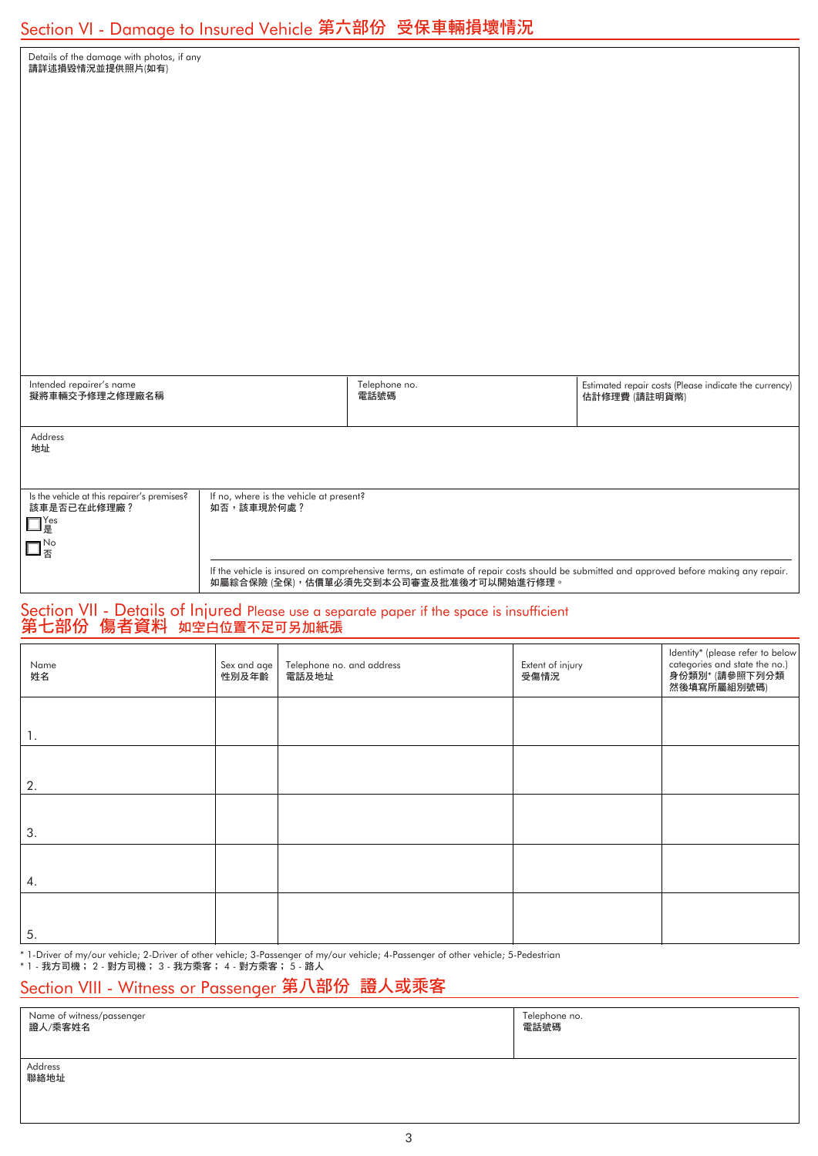| <u> Section VI - Damage to Insured Vehicle 第六部份  受保車輛損壞情況</u>                                                    |                      |                                         |                                                                                                                                                                                     |                          |               |                                                                                                    |
|------------------------------------------------------------------------------------------------------------------|----------------------|-----------------------------------------|-------------------------------------------------------------------------------------------------------------------------------------------------------------------------------------|--------------------------|---------------|----------------------------------------------------------------------------------------------------|
| Details of the damage with photos, if any<br>請詳述損毀情況並提供照片(如有)                                                    |                      |                                         |                                                                                                                                                                                     |                          |               |                                                                                                    |
|                                                                                                                  |                      |                                         |                                                                                                                                                                                     |                          |               |                                                                                                    |
|                                                                                                                  |                      |                                         |                                                                                                                                                                                     |                          |               |                                                                                                    |
|                                                                                                                  |                      |                                         |                                                                                                                                                                                     |                          |               |                                                                                                    |
|                                                                                                                  |                      |                                         |                                                                                                                                                                                     |                          |               |                                                                                                    |
|                                                                                                                  |                      |                                         |                                                                                                                                                                                     |                          |               |                                                                                                    |
|                                                                                                                  |                      |                                         |                                                                                                                                                                                     |                          |               |                                                                                                    |
|                                                                                                                  |                      |                                         |                                                                                                                                                                                     |                          |               |                                                                                                    |
| Intended repairer's name<br>擬將車輛交予修理之修理廠名稱                                                                       |                      |                                         | Telephone no.<br>電話號碼                                                                                                                                                               |                          | 估計修理費 (請註明貨幣) | Estimated repair costs (Please indicate the currency)                                              |
| Address<br>地址                                                                                                    |                      |                                         |                                                                                                                                                                                     |                          |               |                                                                                                    |
| Is the vehicle at this repairer's premises?<br>該車是否已在此修理廠?<br>$\Box^{\Upsilon_{\text{es}}}_{\text{\tiny{E}}}$    | 如否,該車現於何處?           | If no, where is the vehicle at present? |                                                                                                                                                                                     |                          |               |                                                                                                    |
| $\Box_{\,\overline{\mathbb{B}}}^{\,\text{No}}$                                                                   |                      |                                         | lf the vehicle is insured on comprehensive terms, an estimate of repair costs should be submitted and approved before making any repair.<br>如屬綜合保險 (全保),估價單必須先交到本公司審查及批准後才可以開始進行修理。 |                          |               |                                                                                                    |
| Section VII - Details of Injured Please use a separate paper if the space is insufficient 第七部份 傷者資料 如空白位置不足可另加紙張 |                      |                                         |                                                                                                                                                                                     |                          |               |                                                                                                    |
| Name<br>姓名                                                                                                       | Sex and age<br>性別及年齡 | Telephone no. and address<br>電話及地址      |                                                                                                                                                                                     | Extent of injury<br>受傷情況 |               | Identity* (please refer to below<br>categories and state the no.)<br>身份類別* (請參照下列分類<br>然後填寫所屬組別號碼) |
| 1.                                                                                                               |                      |                                         |                                                                                                                                                                                     |                          |               |                                                                                                    |
| 2.                                                                                                               |                      |                                         |                                                                                                                                                                                     |                          |               |                                                                                                    |
| 3.                                                                                                               |                      |                                         |                                                                                                                                                                                     |                          |               |                                                                                                    |
| 4.                                                                                                               |                      |                                         |                                                                                                                                                                                     |                          |               |                                                                                                    |
| 5.                                                                                                               |                      |                                         |                                                                                                                                                                                     |                          |               |                                                                                                    |
|                                                                                                                  |                      |                                         |                                                                                                                                                                                     |                          |               |                                                                                                    |

\* 1-Driver of my/our vehicle; 2-Driver of other vehicle; 3-Passenger of my/our vehicle; 4-Passenger of other vehicle; 5-Pedestrian

\* 1 - 我方司機; 2 - 對方司機; 3 - 我方乘客; 4 - 對方乘客; 5 - 路人

# Section VIII - Witness or Passenger 第八部份 證人或乘客

| Name of witness/passenger<br>證人/乘客姓名 | Telephone no.<br>電話號碼 |
|--------------------------------------|-----------------------|
| Address<br>聯絡地址                      |                       |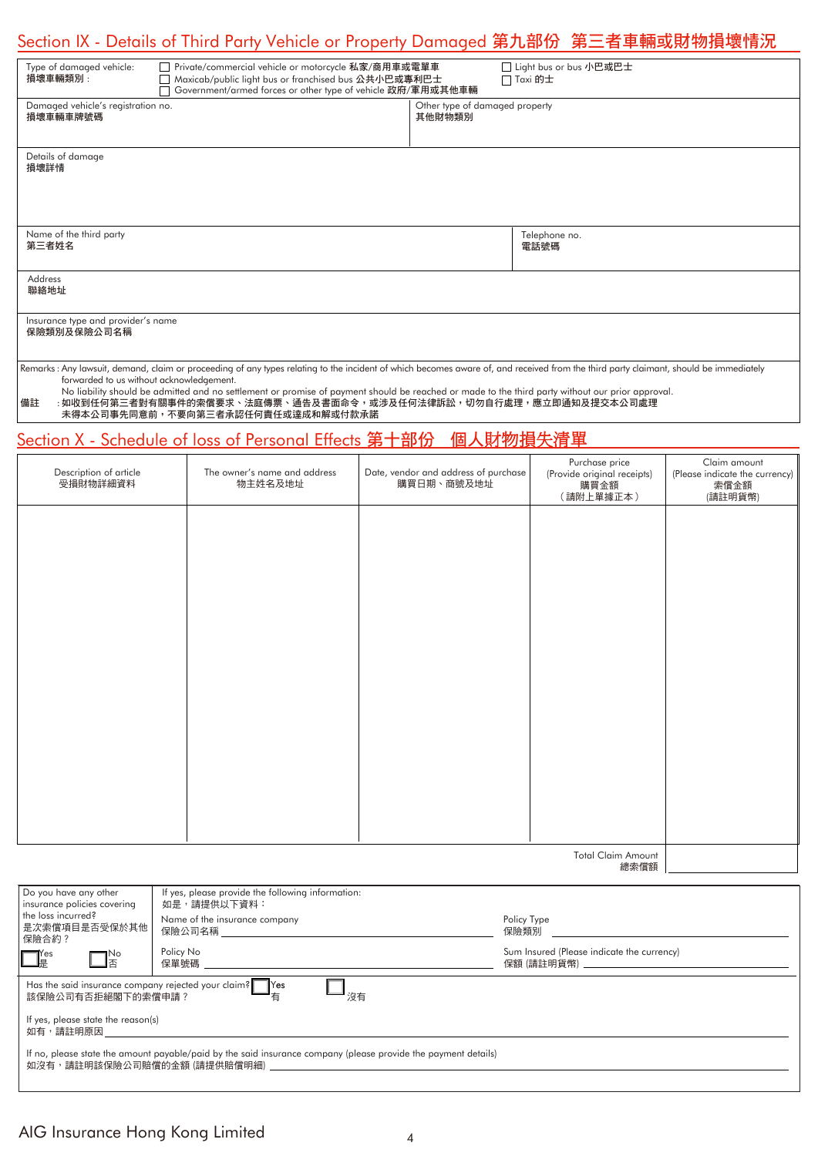# Section IX - Details of Third Party Vehicle or Property Damaged 第九部份 第三者車輛或財物損壞情況

| Type of damaged vehicle:<br>損壞車輛類別:                   | Private/commercial vehicle or motorcycle 私家/商用車或電單車<br>Maxicab/public light bus or franchised bus 公共小巴或專利巴士<br>Government/armed forces or other type of vehicle 政府/軍用或其他車輛                                                                                                                                                                                                                                     |                                          | □ Light bus or bus 小巴或巴士<br>$\Box$ Taxi 的士 |
|-------------------------------------------------------|----------------------------------------------------------------------------------------------------------------------------------------------------------------------------------------------------------------------------------------------------------------------------------------------------------------------------------------------------------------------------------------------------------------|------------------------------------------|--------------------------------------------|
| Damaged vehicle's registration no.<br>損壞車輛車牌號碼        |                                                                                                                                                                                                                                                                                                                                                                                                                | Other type of damaged property<br>其他財物類別 |                                            |
| Details of damage<br>損壞詳情                             |                                                                                                                                                                                                                                                                                                                                                                                                                |                                          |                                            |
| Name of the third party<br>第三者姓名                      |                                                                                                                                                                                                                                                                                                                                                                                                                |                                          | Telephone no.<br>電話號碼                      |
| <b>Address</b><br>聯絡地址                                |                                                                                                                                                                                                                                                                                                                                                                                                                |                                          |                                            |
| Insurance type and provider's name<br>保險類別及保險公司名稱     |                                                                                                                                                                                                                                                                                                                                                                                                                |                                          |                                            |
| forwarded to us without acknowledgement.<br>$144 = 3$ | Remarks: Any lawsuit, demand, claim or proceeding of any types relating to the incident of which becomes aware of, and received from the third party claimant, should be immediately<br>No liability should be admitted and no settlement or promise of payment should be reached or made to the third party without our prior approval.<br>1. 临7. 反后放一起射击眼睛从北手坐塞尖,让声度塞,这些五声子大人,尖速立反后头地名。 同仁夫行去而,带上的汉后五担子上入气去而 |                                          |                                            |

備註 : 如收到任何第三者對有關事件的索償要求、法庭傳票、通告及書面命令,或涉及任何法律訴訟,切勿自行處理,應立即通知及提交本公司處理 未得本公司事先同意前,不要向第三者承認任何責任或達成和解或付款承諾

## Section X - Schedule of loss of Personal Effects 第十部份 個人財物損失清單

| Description of article<br>受損財物詳細資料 | The owner's name and address<br>物主姓名及地址 | Date, vendor and address of purchase<br>購買日期、商號及地址 | Purchase price<br>(Provide original receipts) | Claim amount<br>(Please indicate the currency)<br>索償金額<br>(請註明貨幣) |
|------------------------------------|-----------------------------------------|----------------------------------------------------|-----------------------------------------------|-------------------------------------------------------------------|
|                                    |                                         |                                                    |                                               |                                                                   |
|                                    |                                         |                                                    |                                               |                                                                   |
|                                    |                                         |                                                    |                                               |                                                                   |
|                                    |                                         |                                                    |                                               |                                                                   |
|                                    |                                         |                                                    |                                               |                                                                   |
|                                    |                                         |                                                    |                                               |                                                                   |
|                                    |                                         |                                                    |                                               |                                                                   |

Total Claim Amount 總索償額

| Do you have any other<br>insurance policies covering<br>the loss incurred?<br>是次索僧項目是否受保於其他<br> 保險合約?<br>$\mathbb{T}_\mathbb{R}^{\text{res}}$<br>$\Box^{\tiny \text{No}}_{\scriptscriptstyle \overline{\mathbb{B}}}$ | If yes, please provide the following information:<br>如是,請提供以下資料:<br>Name of the insurance company<br>保險公司名稱 しんしょうがく しんしょう<br>Policy No<br>保單號碼 | Policy Type<br>保險類別<br>Sum Insured (Please indicate the currency)<br>保額 (請註明貨幣) いっこうしょう しんこうしょう しんこうしょう |  |  |  |
|----------------------------------------------------------------------------------------------------------------------------------------------------------------------------------------------------------------------|------------------------------------------------------------------------------------------------------------------------------------------------|---------------------------------------------------------------------------------------------------------|--|--|--|
| Has the said insurance company rejected your claim? Yes<br>沒有<br>有<br>該保險公司有否拒絕閣下的索償申請?<br>If yes, please state the reason(s)<br>如有,請註明原因                                                                            |                                                                                                                                                |                                                                                                         |  |  |  |
| If no, please state the amount payable/paid by the said insurance company (please provide the payment details)<br>如沒有,請註明該保險公司賠償的金額 (請提供賠償明細)                                                                        |                                                                                                                                                |                                                                                                         |  |  |  |